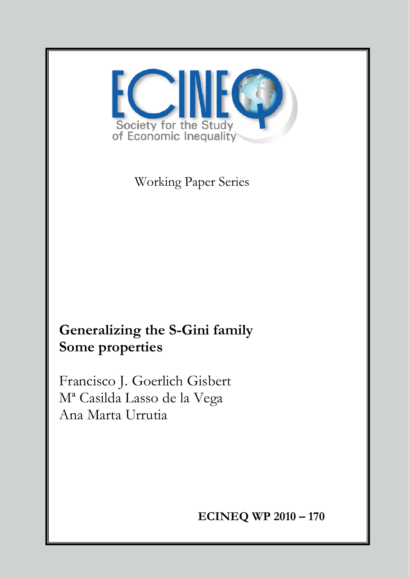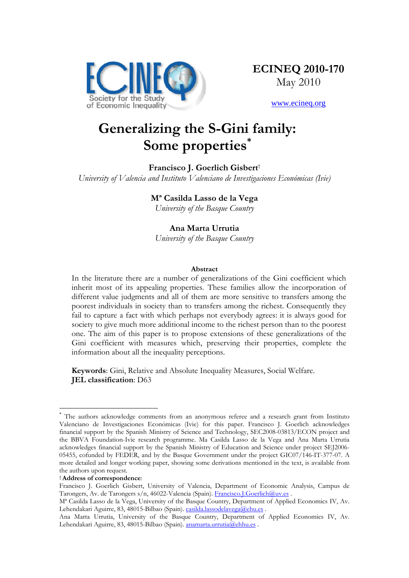

www.ecineq.org

# **Generalizing the S-Gini family: Some properties\***

### **Francisco J. Goerlich Gisbert**† *University of Valencia and Instituto Valenciano de Investigaciones Económicas (Ivie)*

# **Mª Casilda Lasso de la Vega**

*University of the Basque Country* 

## **Ana Marta Urrutia**

*University of the Basque Country*

## **Abstract**

In the literature there are a number of generalizations of the Gini coefficient which inherit most of its appealing properties. These families allow the incorporation of different value judgments and all of them are more sensitive to transfers among the poorest individuals in society than to transfers among the richest. Consequently they fail to capture a fact with which perhaps not everybody agrees: it is always good for society to give much more additional income to the richest person than to the poorest one. The aim of this paper is to propose extensions of these generalizations of the Gini coefficient with measures which, preserving their properties, complete the information about all the inequality perceptions.

**Keywords**: Gini, Relative and Absolute Inequality Measures, Social Welfare. **JEL classification**: D63

 $\overline{a}$ 

<sup>\*</sup> The authors acknowledge comments from an anonymous referee and a research grant from Instituto Valenciano de Investigaciones Económicas (Ivie) for this paper. Francisco J. Goerlich acknowledges financial support by the Spanish Ministry of Science and Technology, SEC2008-03813/ECON project and the BBVA Foundation-Ivie research programme. Ma Casilda Lasso de la Vega and Ana Marta Urrutia acknowledges financial support by the Spanish Ministry of Education and Science under project SEJ2006- 05455, cofunded by FEDER, and by the Basque Government under the project GIC07/146-IT-377-07. A more detailed and longer working paper, showing some derivations mentioned in the text, is available from the authors upon request.

<sup>†</sup> **Address of correspondence**:

Francisco J. Goerlich Gisbert, University of Valencia, Department of Economic Analysis, Campus de Tarongers, Av. de Tarongers s/n, 46022-Valencia (Spain). Francisco.J.Goerlich@uv.es .

Mª Casilda Lasso de la Vega, University of the Basque Country, Department of Applied Economics IV, Av. Lehendakari Aguirre, 83, 48015-Bilbao (Spain). casilda.lassodelavega@ehu.es.

Ana Marta Urrutia, University of the Basque Country, Department of Applied Economics IV, Av. Lehendakari Aguirre, 83, 48015-Bilbao (Spain). anamarta.urrutia@ehhu.es .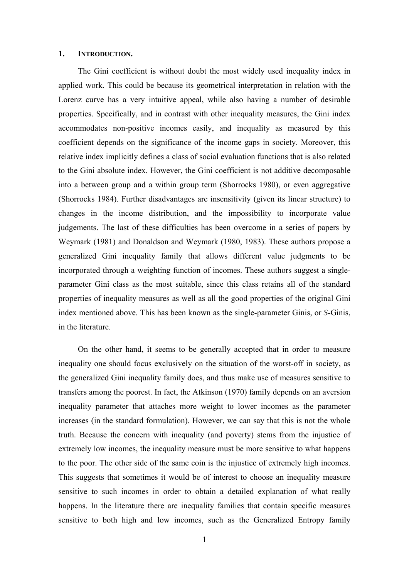#### **1. INTRODUCTION.**

The Gini coefficient is without doubt the most widely used inequality index in applied work. This could be because its geometrical interpretation in relation with the Lorenz curve has a very intuitive appeal, while also having a number of desirable properties. Specifically, and in contrast with other inequality measures, the Gini index accommodates non-positive incomes easily, and inequality as measured by this coefficient depends on the significance of the income gaps in society. Moreover, this relative index implicitly defines a class of social evaluation functions that is also related to the Gini absolute index. However, the Gini coefficient is not additive decomposable into a between group and a within group term (Shorrocks 1980), or even aggregative (Shorrocks 1984). Further disadvantages are insensitivity (given its linear structure) to changes in the income distribution, and the impossibility to incorporate value judgements. The last of these difficulties has been overcome in a series of papers by Weymark (1981) and Donaldson and Weymark (1980, 1983). These authors propose a generalized Gini inequality family that allows different value judgments to be incorporated through a weighting function of incomes. These authors suggest a singleparameter Gini class as the most suitable, since this class retains all of the standard properties of inequality measures as well as all the good properties of the original Gini index mentioned above. This has been known as the single-parameter Ginis, or *S*-Ginis, in the literature.

On the other hand, it seems to be generally accepted that in order to measure inequality one should focus exclusively on the situation of the worst-off in society, as the generalized Gini inequality family does, and thus make use of measures sensitive to transfers among the poorest. In fact, the Atkinson (1970) family depends on an aversion inequality parameter that attaches more weight to lower incomes as the parameter increases (in the standard formulation). However, we can say that this is not the whole truth. Because the concern with inequality (and poverty) stems from the injustice of extremely low incomes, the inequality measure must be more sensitive to what happens to the poor. The other side of the same coin is the injustice of extremely high incomes. This suggests that sometimes it would be of interest to choose an inequality measure sensitive to such incomes in order to obtain a detailed explanation of what really happens. In the literature there are inequality families that contain specific measures sensitive to both high and low incomes, such as the Generalized Entropy family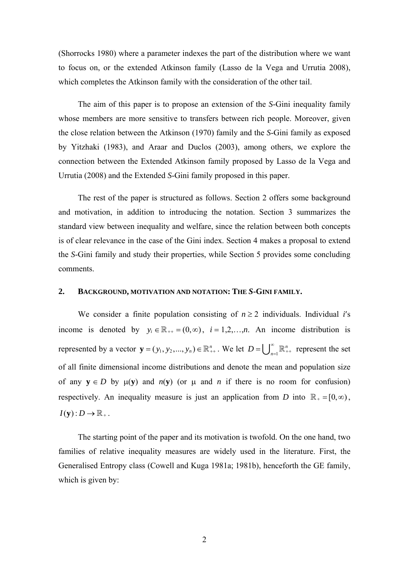(Shorrocks 1980) where a parameter indexes the part of the distribution where we want to focus on, or the extended Atkinson family (Lasso de la Vega and Urrutia 2008), which completes the Atkinson family with the consideration of the other tail.

The aim of this paper is to propose an extension of the *S*-Gini inequality family whose members are more sensitive to transfers between rich people. Moreover, given the close relation between the Atkinson (1970) family and the *S*-Gini family as exposed by Yitzhaki (1983), and Araar and Duclos (2003), among others, we explore the connection between the Extended Atkinson family proposed by Lasso de la Vega and Urrutia (2008) and the Extended *S*-Gini family proposed in this paper.

The rest of the paper is structured as follows. Section 2 offers some background and motivation, in addition to introducing the notation. Section 3 summarizes the standard view between inequality and welfare, since the relation between both concepts is of clear relevance in the case of the Gini index. Section 4 makes a proposal to extend the *S*-Gini family and study their properties, while Section 5 provides some concluding comments.

#### **2. BACKGROUND, MOTIVATION AND NOTATION: THE** *S***-GINI FAMILY.**

We consider a finite population consisting of  $n \geq 2$  individuals. Individual *i*'s income is denoted by  $y_i \in \mathbb{R}_{++} = (0, \infty)$ ,  $i = 1, 2, ..., n$ . An income distribution is represented by a vector  $\mathbf{y} = (y_1, y_2, ..., y_n) \in \mathbb{R}^n_{++}$ . We let  $D = \bigcup_{n=1}^{\infty}$  $D = \bigcup_{n=1}^{\infty} \mathbb{R}^n_{++}$  represent the set of all finite dimensional income distributions and denote the mean and population size of any  $y \in D$  by  $\mu(y)$  and  $n(y)$  (or  $\mu$  and  $n$  if there is no room for confusion) respectively. An inequality measure is just an application from *D* into  $\mathbb{R}_{+} = [0, \infty)$ ,  $I(\mathbf{y}) : D \to \mathbb{R}_+$ .

The starting point of the paper and its motivation is twofold. On the one hand, two families of relative inequality measures are widely used in the literature. First, the Generalised Entropy class (Cowell and Kuga 1981a; 1981b), henceforth the GE family, which is given by: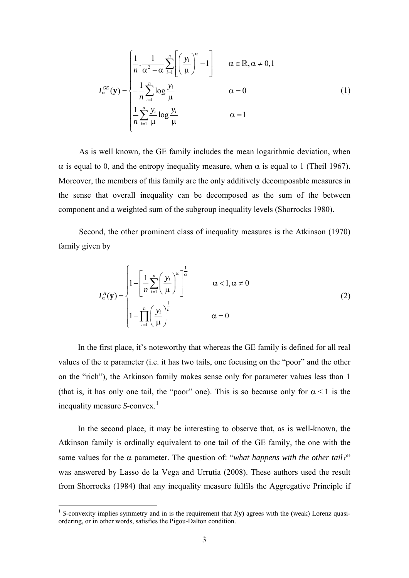$$
I_{\alpha}^{GE}(\mathbf{y}) = \begin{cases} \frac{1}{n} \cdot \frac{1}{\alpha^2 - \alpha} \sum_{i=1}^{n} \left[ \left( \frac{y_i}{\mu} \right)^{\alpha} - 1 \right] & \alpha \in \mathbb{R}, \alpha \neq 0, 1 \\ -\frac{1}{n} \sum_{i=1}^{n} \log \frac{y_i}{\mu} & \alpha = 0 \\ \frac{1}{n} \sum_{i=1}^{n} \frac{y_i}{\mu} \log \frac{y_i}{\mu} & \alpha = 1 \end{cases}
$$
(1)

As is well known, the GE family includes the mean logarithmic deviation, when α is equal to 0, and the entropy inequality measure, when α is equal to 1 (Theil 1967). Moreover, the members of this family are the only additively decomposable measures in the sense that overall inequality can be decomposed as the sum of the between component and a weighted sum of the subgroup inequality levels (Shorrocks 1980).

Second, the other prominent class of inequality measures is the Atkinson (1970) family given by

$$
I_{\alpha}^{A}(\mathbf{y}) = \begin{cases} 1 - \left[ \frac{1}{n} \sum_{i=1}^{n} \left( \frac{y_{i}}{\mu} \right)^{\alpha} \right]^{\frac{1}{\alpha}} & \alpha < 1, \alpha \neq 0 \\ 1 - \prod_{i=1}^{n} \left( \frac{y_{i}}{\mu} \right)^{\frac{1}{n}} & \alpha = 0 \end{cases}
$$
(2)

In the first place, it's noteworthy that whereas the GE family is defined for all real values of the  $\alpha$  parameter (i.e. it has two tails, one focusing on the "poor" and the other on the "rich"), the Atkinson family makes sense only for parameter values less than 1 (that is, it has only one tail, the "poor" one). This is so because only for  $\alpha < 1$  is the inequality measure *S*-convex. [1](#page-4-0)

In the second place, it may be interesting to observe that, as is well-known, the Atkinson family is ordinally equivalent to one tail of the GE family, the one with the same values for the  $\alpha$  parameter. The question of: "*what happens with the other tail?*" was answered by Lasso de la Vega and Urrutia (2008). These authors used the result from Shorrocks (1984) that any inequality measure fulfils the Aggregative Principle if

1

<span id="page-4-0"></span><sup>&</sup>lt;sup>1</sup> *S*-convexity implies symmetry and in is the requirement that  $I(y)$  agrees with the (weak) Lorenz quasiordering, or in other words, satisfies the Pigou-Dalton condition.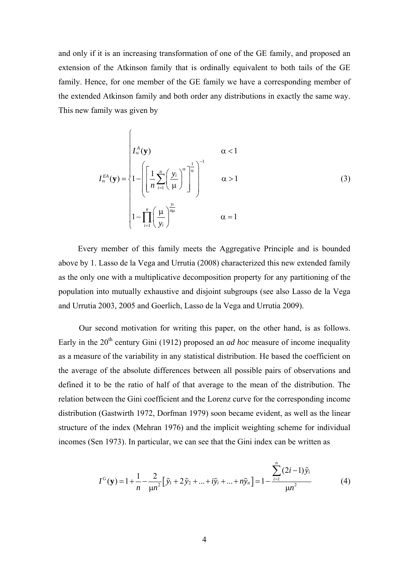and only if it is an increasing transformation of one of the GE family, and proposed an extension of the Atkinson family that is ordinally equivalent to both tails of the GE family. Hence, for one member of the GE family we have a corresponding member of the extended Atkinson family and both order any distributions in exactly the same way. This new family was given by

$$
I_{\alpha}^{EA}(\mathbf{y}) = \begin{cases} I_{\alpha}^{A}(\mathbf{y}) & \alpha < 1\\ 1 - \left( \left[ \frac{1}{n} \sum_{i=1}^{n} \left( \frac{y_{i}}{\mu} \right)^{\alpha} \right]_{\alpha}^{\alpha} \right]^{-1} & \alpha > 1\\ 1 - \prod_{i=1}^{n} \left( \frac{\mu}{y_{i}} \right)^{\frac{y_{i}}{\mu}} & \alpha = 1 \end{cases}
$$
(3)

Every member of this family meets the Aggregative Principle and is bounded above by 1. Lasso de la Vega and Urrutia (2008) characterized this new extended family as the only one with a multiplicative decomposition property for any partitioning of the population into mutually exhaustive and disjoint subgroups (see also Lasso de la Vega and Urrutia 2003, 2005 and Goerlich, Lasso de la Vega and Urrutia 2009).

Our second motivation for writing this paper, on the other hand, is as follows. Early in the 20<sup>th</sup> century Gini (1912) proposed an *ad hoc* measure of income inequality as a measure of the variability in any statistical distribution. He based the coefficient on the average of the absolute differences between all possible pairs of observations and defined it to be the ratio of half of that average to the mean of the distribution. The relation between the Gini coefficient and the Lorenz curve for the corresponding income distribution (Gastwirth 1972, Dorfman 1979) soon became evident, as well as the linear structure of the index (Mehran 1976) and the implicit weighting scheme for individual incomes (Sen 1973). In particular, we can see that the Gini index can be written as

$$
I^{G}(\mathbf{y}) = 1 + \frac{1}{n} - \frac{2}{\mu n^{2}} \left[ \tilde{y}_{1} + 2 \tilde{y}_{2} + ... + i \tilde{y}_{i} + ... + n \tilde{y}_{n} \right] = 1 - \frac{\sum_{i=1}^{n} (2i - 1) \tilde{y}_{i}}{\mu n^{2}}
$$
(4)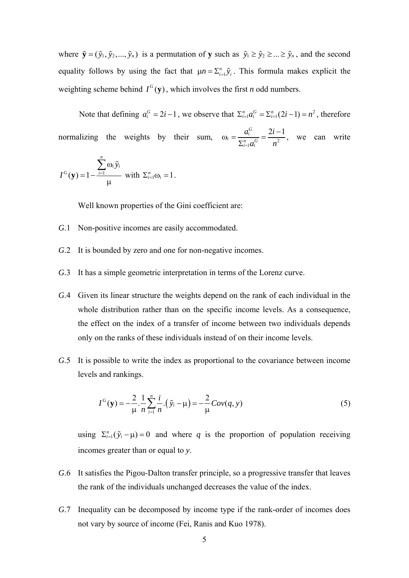where  $\tilde{\mathbf{y}} = (\tilde{y}_1, \tilde{y}_2, ..., \tilde{y}_n)$  is a permutation of **y** such as  $\tilde{y}_1 \ge \tilde{y}_2 \ge ... \ge \tilde{y}_n$ , and the second equality follows by using the fact that  $\mu n = \sum_{i=1}^{n} \tilde{y}_i$ . This formula makes explicit the weighting scheme behind  $I^G(y)$ , which involves the first *n* odd numbers.

Note that defining  $a_i^G = 2i - 1$ , we observe that  $\sum_{i=1}^n a_i^G = \sum_{i=1}^n (2i - 1) = n^2$ , therefore normalizing the weights by their sum,  $\omega_i = \frac{a_i}{\sum_{i=1}^n a_i^G} = \frac{2i}{n^2}$  $a_i = \frac{a_i^G}{\sum_{i=1}^n a_i^G} = \frac{2i-1}{n^2}$  $a_i^G$  2*i*  $\int_{-1}^{i} a_i$  *n*  $\omega_i = \frac{a_i^G}{\sum_{i=1}^n a_i^G} = \frac{2i-1}{n^2}$ , we can write

$$
I^{G}(\mathbf{y}) = 1 - \frac{\sum_{i=1}^{n} \omega_{i} \tilde{y}_{i}}{\mu} \text{ with } \Sigma_{i=1}^{n} \omega_{i} = 1.
$$

Well known properties of the Gini coefficient are:

- *G*.1 Non-positive incomes are easily accommodated.
- *G*.2 It is bounded by zero and one for non-negative incomes.
- *G*.3 It has a simple geometric interpretation in terms of the Lorenz curve.
- *G*.4 Given its linear structure the weights depend on the rank of each individual in the whole distribution rather than on the specific income levels. As a consequence, the effect on the index of a transfer of income between two individuals depends only on the ranks of these individuals instead of on their income levels.
- *G*.5 It is possible to write the index as proportional to the covariance between income levels and rankings.

$$
I^{G}(\mathbf{y}) = -\frac{2}{\mu} \cdot \frac{1}{n} \sum_{i=1}^{n} \frac{i}{n} \cdot (\tilde{y}_{i} - \mu) = -\frac{2}{\mu} Cov(q, y)
$$
 (5)

using  $\Sigma_{i=1}^n(\tilde{y}_i - \mu) = 0$  and where *q* is the proportion of population receiving incomes greater than or equal to *y*.

- *G*.6 It satisfies the Pigou-Dalton transfer principle, so a progressive transfer that leaves the rank of the individuals unchanged decreases the value of the index.
- *G*.7 Inequality can be decomposed by income type if the rank-order of incomes does not vary by source of income (Fei, Ranis and Kuo 1978).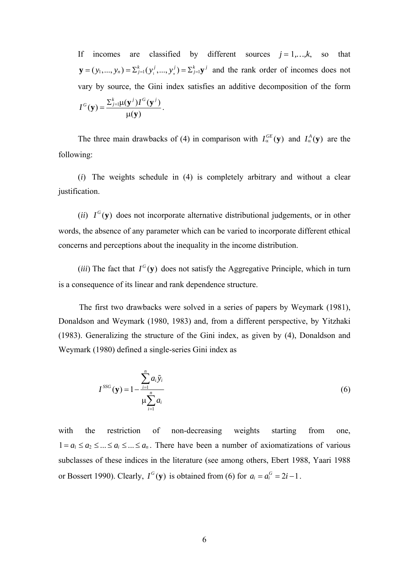If incomes are classified by different sources  $j = 1, \ldots, k$ , so that  $\mathbf{y} = (y_1, ..., y_n) = \sum_{j=1}^k (y_1^j, ..., y_n^j) = \sum_{j=1}^k \mathbf{y}^j$  and the rank order of incomes does not vary by source, the Gini index satisfies an additive decomposition of the form  $I^G(\mathbf{y}) = \frac{\sum_{j=1}^k \mu(\mathbf{y}^j) I^G(\mathbf{y}^j)}{\mu(\mathbf{y})}.$ 

The three main drawbacks of (4) in comparison with  $I_{\alpha}^{GE}(\mathbf{y})$  and  $I_{\alpha}^{A}(\mathbf{y})$  are the following:

(*i*) The weights schedule in (4) is completely arbitrary and without a clear justification.

(*ii*)  $I^G$ (**y**) does not incorporate alternative distributional judgements, or in other words, the absence of any parameter which can be varied to incorporate different ethical concerns and perceptions about the inequality in the income distribution.

(*iii*) The fact that  $I^G(y)$  does not satisfy the Aggregative Principle, which in turn is a consequence of its linear and rank dependence structure.

The first two drawbacks were solved in a series of papers by Weymark (1981), Donaldson and Weymark (1980, 1983) and, from a different perspective, by Yitzhaki (1983). Generalizing the structure of the Gini index, as given by (4), Donaldson and Weymark (1980) defined a single-series Gini index as

$$
I^{SSG}(\mathbf{y}) = 1 - \frac{\sum_{i=1}^{n} a_i \tilde{y}_i}{\mu \sum_{i=1}^{n} a_i}
$$
 (6)

 $1 = a_1 \le a_2 \le ... \le a_i \le ... \le a_n$ . There have been a number of axiomatizations of various or Bossert 1990). Clearly,  $I^G$ (y) is obtained from (6) for  $a_i = a_i^G = 2i - 1$ . with the restriction of non-decreasing weights starting from one, subclasses of these indices in the literature (see among others, Ebert 1988, Yaari 1988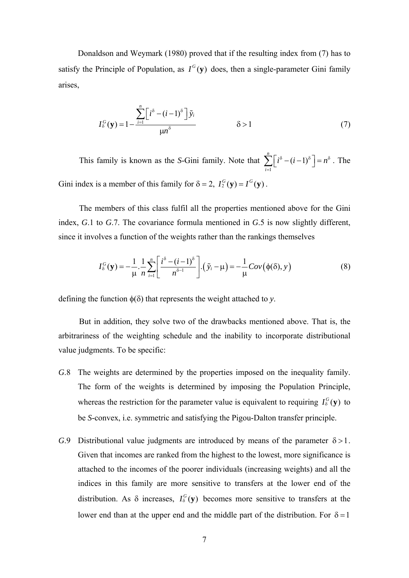Donaldson and Weymark (1980) proved that if the resulting index from (7) has to satisfy the Principle of Population, as  $I^G(v)$  does, then a single-parameter Gini family arises,

$$
I_{\delta}^{G}(\mathbf{y}) = 1 - \frac{\sum_{i=1}^{n} \left[i^{\delta} - (i-1)^{\delta}\right] \tilde{y}_{i}}{\mu n^{\delta}} \qquad \delta > 1 \qquad (7)
$$

*n* This family is known as the *S*-Gini family. Note that 1  $(i-1)$ *i*  $i^{\delta} - (i-1)^{\delta} = n$  $\sum_{i=1} [i^{\delta} - (i-1)^{\delta}] = n^{\delta}$ . The Gini index is a member of this family for  $\delta = 2$ ,  $I_2^G(y) = I^G(y)$ .

The members of this class fulfil all the properties mentioned above for the Gini index, *G*.1 to *G*.7. The covariance formula mentioned in *G*.5 is now slightly different, since it involves a function of the weights rather than the rankings themselves

$$
I_{\delta}^{G}(\mathbf{y}) = -\frac{1}{\mu} \cdot \frac{1}{n} \sum_{i=1}^{n} \left[ \frac{i^{\delta} - (i-1)^{\delta}}{n^{\delta-1}} \right] \cdot (\tilde{y}_{i} - \mu) = -\frac{1}{\mu} Cov(\phi(\delta), y)
$$
(8)

defining the function  $\phi(\delta)$  that represents the weight attached to *y*.

But in addition, they solve two of the drawbacks mentioned above. That is, the arbitrariness of the weighting schedule and the inability to incorporate distributional value judgments. To be specific:

- whereas the restriction for the parameter value is equivalent to requiring  $I_{\delta}^{G}(y)$  to *G*.8 The weights are determined by the properties imposed on the inequality family. The form of the weights is determined by imposing the Population Principle, be *S*-convex, i.e. symmetric and satisfying the Pigou-Dalton transfer principle.
- *G.*9 Distributional value judgments are introduced by means of the parameter  $\delta > 1$ . Given that incomes are ranked from the highest to the lowest, more significance is attached to the incomes of the poorer individuals (increasing weights) and all the indices in this family are more sensitive to transfers at the lower end of the distribution. As  $\delta$  increases,  $I_{\delta}^{G}(y)$  becomes more sensitive to transfers at the lower end than at the upper end and the middle part of the distribution. For  $\delta = 1$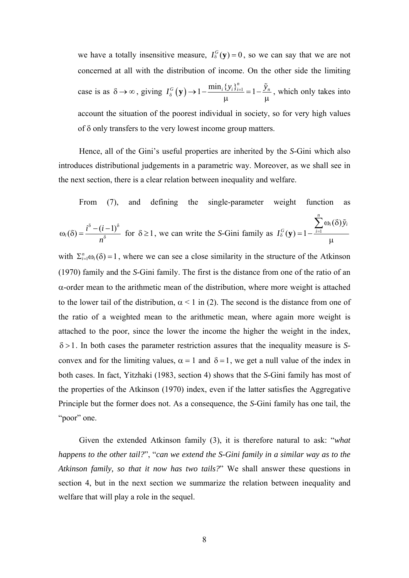we have a totally insensitive measure,  $I_{\delta}^{G}(y) = 0$ , so we can say that we are not concerned at all with the distribution of income. On the other side the limiting case is as  $\delta \to \infty$ , giving  $I_{\delta}^{G}(\mathbf{y}) \to 1 - \frac{\min_{i} \{ y_{i} \}_{i=1}^{n}}{\mu} = 1 - \frac{\tilde{y}_{n}}{\mu}$  $\mathbf{y}$ )  $\rightarrow$  1 –  $\frac{\min_i \{y_i\}_{i=1}^n}{n}$  = 1 –  $\frac{\tilde{y}_n}{n}$ , which only takes into account the situation of the poorest individual in society, so for very high values of δ only transfers to the very lowest income group matters.

Hence, all of the Gini's useful properties are inherited by the *S*-Gini which also introduces distributional judgements in a parametric way. Moreover, as we shall see in the next section, there is a clear relation between inequality and welfare.

From (7), and defining the single-parameter weight function as

*n*

$$
\omega_i(\delta) = \frac{i^{\delta} - (i-1)^{\delta}}{n^{\delta}} \text{ for } \delta \ge 1, \text{ we can write the S-Gini family as } I_{\delta}^G(\mathbf{y}) = 1 - \frac{\sum_{i=1}^{\delta} \omega_i(\delta) \tilde{y}_i}{\mu}
$$

with  $\Sigma_{i=1}^n \omega_i(\delta) = 1$ , where we can see a close similarity in the structure of the Atkinson (1970) family and the *S*-Gini family. The first is the distance from one of the ratio of an α-order mean to the arithmetic mean of the distribution, where more weight is attached to the lower tail of the distribution,  $\alpha$  < 1 in (2). The second is the distance from one of the ratio of a weighted mean to the arithmetic mean, where again more weight is attached to the poor, since the lower the income the higher the weight in the index, . In both cases the parameter restriction assures that the inequality measure is *S*-δ >1 convex and for the limiting values,  $\alpha = 1$  and  $\delta = 1$ , we get a null value of the index in both cases. In fact, Yitzhaki (1983, section 4) shows that the *S*-Gini family has most of the properties of the Atkinson (1970) index, even if the latter satisfies the Aggregative Principle but the former does not. As a consequence, the *S*-Gini family has one tail, the "poor" one.

Given the extended Atkinson family (3), it is therefore natural to ask: "*what happens to the other tail?*", "*can we extend the S-Gini family in a similar way as to the Atkinson family, so that it now has two tails?*" We shall answer these questions in section 4, but in the next section we summarize the relation between inequality and welfare that will play a role in the sequel.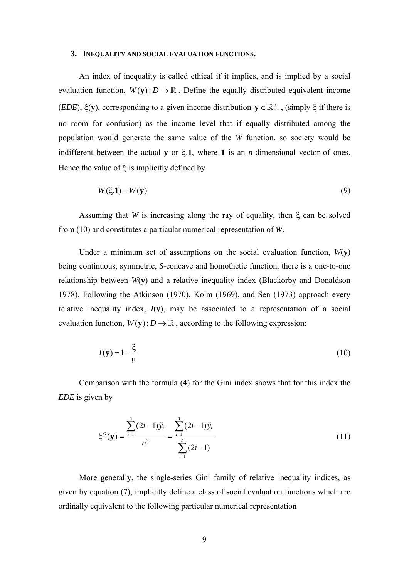#### **3. INEQUALITY AND SOCIAL EVALUATION FUNCTIONS.**

An index of inequality is called ethical if it implies, and is implied by a social evaluation function,  $W(y): D \to \mathbb{R}$ . Define the equally distributed equivalent income (*EDE*),  $\xi$ (**y**), corresponding to a given income distribution  $y \in \mathbb{R}_{++}^n$ , (simply  $\xi$  if there is no room for confusion) as the income level that if equally distributed among the population would generate the same value of the *W* function, so society would be indifferent between the actual **y** or ξ.**1**, where **1** is an *n*-dimensional vector of ones. Hence the value of  $\xi$  is implicitly defined by

$$
W(\xi,1) = W(\mathbf{y})\tag{9}
$$

Assuming that *W* is increasing along the ray of equality, then ξ can be solved from (10) and constitutes a particular numerical representation of *W*.

Under a minimum set of assumptions on the social evaluation function,  $W(\mathbf{v})$ being continuous, symmetric, *S*-concave and homothetic function, there is a one-to-one relationship between *W*(**y**) and a relative inequality index (Blackorby and Donaldson 1978). Following the Atkinson (1970), Kolm (1969), and Sen (1973) approach every relative inequality index,  $I(\mathbf{v})$ , may be associated to a representation of a social evaluation function,  $W(y)$ :  $D \to \mathbb{R}$ , according to the following expression:

$$
I(\mathbf{y}) = 1 - \frac{\xi}{\mu} \tag{10}
$$

Comparison with the formula (4) for the Gini index shows that for this index the *EDE* is given by

$$
\xi^{G}(\mathbf{y}) = \frac{\sum_{i=1}^{n} (2i-1)\tilde{y}_{i}}{n^{2}} = \frac{\sum_{i=1}^{n} (2i-1)\tilde{y}_{i}}{\sum_{i=1}^{n} (2i-1)}
$$
(11)

More generally, the single-series Gini family of relative inequality indices, as given by equation (7), implicitly define a class of social evaluation functions which are ordinally equivalent to the following particular numerical representation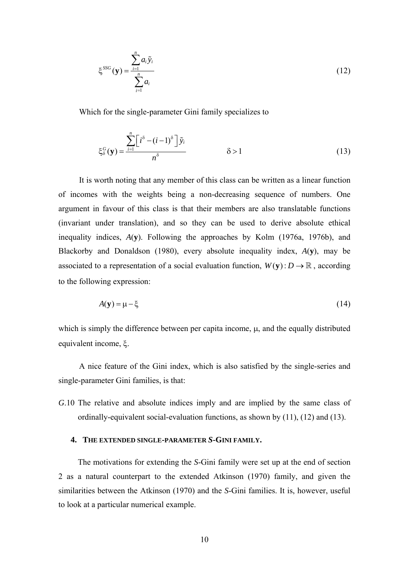$$
\xi^{SSG}(\mathbf{y}) = \frac{\sum_{i=1}^{n} a_i \tilde{y}_i}{\sum_{i=1}^{n} a_i}
$$
 (12)

Which for the single-parameter Gini family specializes to

$$
\xi_{\delta}^{G}(\mathbf{y}) = \frac{\sum_{i=1}^{n} \left[i^{\delta} - (i-1)^{\delta}\right] \tilde{y}_{i}}{n^{\delta}} \qquad \delta > 1 \qquad (13)
$$

associated to a representation of a social evaluation function,  $W(y)$  :  $D \to \mathbb{R}$ , according It is worth noting that any member of this class can be written as a linear function of incomes with the weights being a non-decreasing sequence of numbers. One argument in favour of this class is that their members are also translatable functions (invariant under translation), and so they can be used to derive absolute ethical inequality indices, *A*(**y**). Following the approaches by Kolm (1976a, 1976b), and Blackorby and Donaldson (1980), every absolute inequality index, *A*(**y**), may be to the following expression:

$$
A(\mathbf{y}) = \mu - \xi \tag{14}
$$

which is simply the difference between per capita income, μ, and the equally distributed equivalent income, ξ.

A nice feature of the Gini index, which is also satisfied by the single-series and single-parameter Gini families, is that:

*G*.10 The relative and absolute indices imply and are implied by the same class of ordinally-equivalent social-evaluation functions, as shown by (11), (12) and (13).

## **4. THE EXTENDED SINGLE-PARAMETER** *S***-GINI FAMILY.**

The motivations for extending the *S*-Gini family were set up at the end of section 2 as a natural counterpart to the extended Atkinson (1970) family, and given the similarities between the Atkinson (1970) and the *S*-Gini families. It is, however, useful to look at a particular numerical example.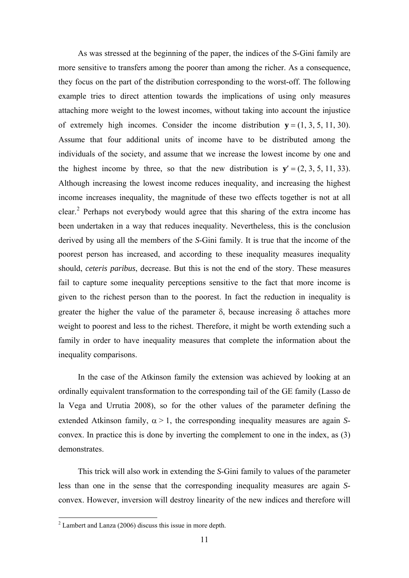As was stressed at the beginning of the paper, the indices of the *S*-Gini family are more sensitive to transfers among the poorer than among the richer. As a consequence, they focus on the part of the distribution corresponding to the worst-off. The following example tries to direct attention towards the implications of using only measures attaching more weight to the lowest incomes, without taking into account the injustice of extremely high incomes. Consider the income distribution  $y = (1, 3, 5, 11, 30)$ . Assume that four additional units of income have to be distributed among the individuals of the society, and assume that we increase the lowest income by one and the highest income by three, so that the new distribution is  $y' = (2, 3, 5, 11, 33)$ . Although increasing the lowest income reduces inequality, and increasing the highest income increases inequality, the magnitude of these two effects together is not at all clear.<sup>[2](#page-12-0)</sup> Perhaps not everybody would agree that this sharing of the extra income has been undertaken in a way that reduces inequality. Nevertheless, this is the conclusion derived by using all the members of the *S*-Gini family. It is true that the income of the poorest person has increased, and according to these inequality measures inequality should, *ceteris paribus*, decrease. But this is not the end of the story. These measures fail to capture some inequality perceptions sensitive to the fact that more income is given to the richest person than to the poorest. In fact the reduction in inequality is greater the higher the value of the parameter  $\delta$ , because increasing  $\delta$  attaches more weight to poorest and less to the richest. Therefore, it might be worth extending such a family in order to have inequality measures that complete the information about the inequality comparisons.

In the case of the Atkinson family the extension was achieved by looking at an ordinally equivalent transformation to the corresponding tail of the GE family (Lasso de la Vega and Urrutia 2008), so for the other values of the parameter defining the extended Atkinson family,  $\alpha > 1$ , the corresponding inequality measures are again *S*convex. In practice this is done by inverting the complement to one in the index, as (3) demonstrates.

This trick will also work in extending the *S*-Gini family to values of the parameter less than one in the sense that the corresponding inequality measures are again *S*convex. However, inversion will destroy linearity of the new indices and therefore will

<span id="page-12-0"></span><sup>&</sup>lt;sup>2</sup> Lambert and Lanza (2006) discuss this issue in more depth.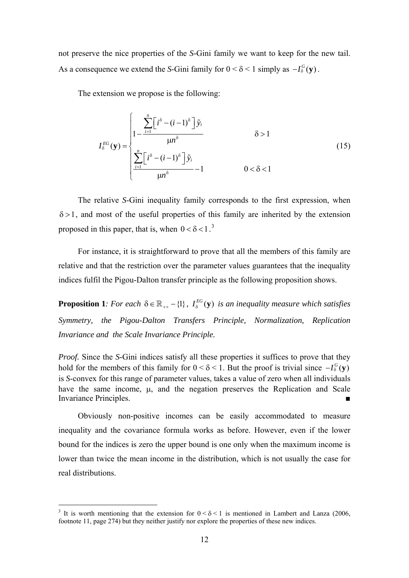not preserve the nice properties of the *S*-Gini family we want to keep for the new tail. As a consequence we extend the *S*-Gini family for  $0 < \delta < 1$  simply as  $-I_{\delta}^{G}(v)$ .

The extension we propose is the following:

$$
I_{\delta}^{EG}(\mathbf{y}) = \begin{cases} \frac{\sum_{i=1}^{n} \left[i^{\delta} - (i-1)^{\delta}\right] \tilde{y}_{i}}{|\mathbf{u}|^{\delta}} & \delta > 1\\ \frac{\sum_{i=1}^{n} \left[i^{\delta} - (i-1)^{\delta}\right] \tilde{y}_{i}}{|\mathbf{u}|^{\delta}} - 1 & 0 < \delta < 1 \end{cases}
$$
(15)

The relative *S*-Gini inequality family corresponds to the first expression, when  $\delta$  > 1, and most of the useful properties of this family are inherited by the extension proposed in this paper, that is, when  $0 < \delta < 1$ .<sup>[3](#page-13-0)</sup>

For instance, it is straightforward to prove that all the members of this family are relative and that the restriction over the parameter values guarantees that the inequality indices fulfil the Pigou-Dalton transfer principle as the following proposition shows.

**Proposition 1***: For each*  $\delta \in \mathbb{R}_{++} - \{1\}$ ,  $I_{\delta}^{EG}(\mathbf{y})$  *is an inequality measure which satisfies Symmetry, the Pigou-Dalton Transfers Principle, Normalization, Replication Invariance and the Scale Invariance Principle.* 

*Proof.* Since the *S*-Gini indices satisfy all these properties it suffices to prove that they hold for the members of this family for  $0 < \delta < 1$ . But the proof is trivial since  $-I_{\delta}^{G}(y)$ is *S*-convex for this range of parameter values, takes a value of zero when all individuals have the same income, μ, and the negation preserves the Replication and Scale Invariance Principles.

Obviously non-positive incomes can be easily accommodated to measure inequality and the covariance formula works as before. However, even if the lower bound for the indices is zero the upper bound is one only when the maximum income is lower than twice the mean income in the distribution, which is not usually the case for real distributions.

1

<span id="page-13-0"></span><sup>&</sup>lt;sup>3</sup> It is worth mentioning that the extension for  $0 < \delta < 1$  is mentioned in Lambert and Lanza (2006, footnote 11, page 274) but they neither justify nor explore the properties of these new indices.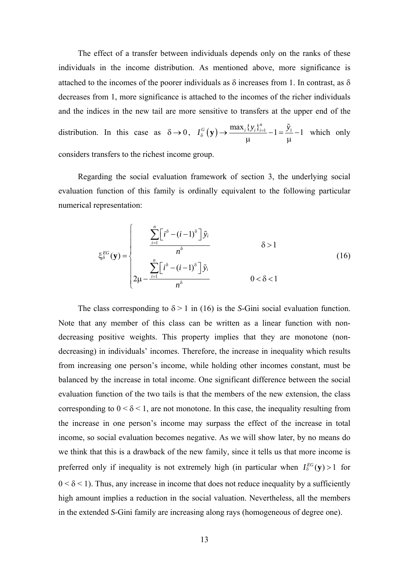The effect of a transfer between individuals depends only on the ranks of these individuals in the income distribution. As mentioned above, more significance is attached to the incomes of the poorer individuals as  $\delta$  increases from 1. In contrast, as  $\delta$ decreases from 1, more significance is attached to the incomes of the richer individuals and the indices in the new tail are more sensitive to transfers at the upper end of the distribution. In this case as  $\delta \to 0$ ,  $I_{\delta}^{G}(\mathbf{y}) \to \frac{\max_{i} \{ y_{i} \}_{i=1}^{n}}{\mu} -1 = \frac{\tilde{y}_{i}}{\mu}$  $\mathbf{y}$ )  $\rightarrow$   $\frac{\max_i \{y_i\}_{i=1}^n}{n-1}$   $-1 = \frac{\tilde{y}_1}{n-1}$ − which only considers transfers to the richest income group.

Regarding the social evaluation framework of section 3, the underlying social evaluation function of this family is ordinally equivalent to the following particular numerical representation:

$$
\xi_{\delta}^{EG}(\mathbf{y}) = \begin{cases}\n\frac{\sum_{i=1}^{n} \left[i^{\delta} - (i-1)^{\delta}\right] \tilde{y}_{i}}{n^{\delta}} & \delta > 1 \\
\frac{\sum_{i=1}^{n} \left[i^{\delta} - (i-1)^{\delta}\right] \tilde{y}_{i}}{n^{\delta}} & 0 < \delta < 1\n\end{cases}
$$
\n(16)

The class corresponding to  $\delta$  > 1 in (16) is the *S*-Gini social evaluation function. Note that any member of this class can be written as a linear function with nondecreasing positive weights. This property implies that they are monotone (nondecreasing) in individuals' incomes. Therefore, the increase in inequality which results from increasing one person's income, while holding other incomes constant, must be balanced by the increase in total income. One significant difference between the social evaluation function of the two tails is that the members of the new extension, the class corresponding to  $0 < \delta < 1$ , are not monotone. In this case, the inequality resulting from the increase in one person's income may surpass the effect of the increase in total income, so social evaluation becomes negative. As we will show later, by no means do we think that this is a drawback of the new family, since it tells us that more income is preferred only if inequality is not extremely high (in particular when  $I_0^{EG}(\mathbf{y}) > 1$  for  $0 < \delta < 1$ ). Thus, any increase in income that does not reduce inequality by a sufficiently high amount implies a reduction in the social valuation. Nevertheless, all the members in the extended *S*-Gini family are increasing along rays (homogeneous of degree one).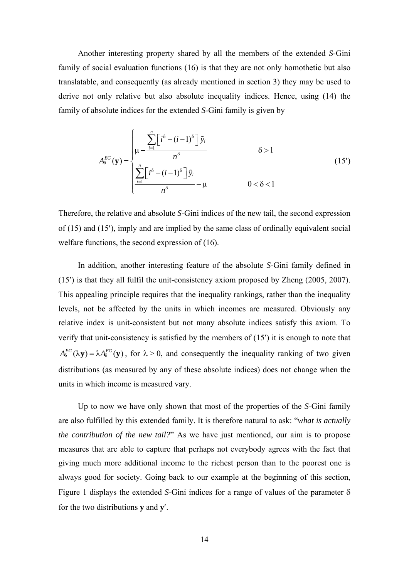Another interesting property shared by all the members of the extended *S*-Gini family of social evaluation functions (16) is that they are not only homothetic but also translatable, and consequently (as already mentioned in section 3) they may be used to derive not only relative but also absolute inequality indices. Hence, using (14) the family of absolute indices for the extended *S*-Gini family is given by

$$
A_{\delta}^{EG}(\mathbf{y}) = \begin{cases} \sum_{i=1}^{n} \left[i^{\delta} - (i-1)^{\delta}\right] \tilde{y}_{i} & \delta > 1\\ \sum_{i=1}^{n} \left[i^{\delta} - (i-1)^{\delta}\right] \tilde{y}_{i} & \delta > 1\\ \frac{\sum_{i=1}^{n} \left[i^{\delta} - (i-1)^{\delta}\right] \tilde{y}_{i}}{n^{\delta}} - \mu & 0 < \delta < 1 \end{cases}
$$
(15')

Therefore, the relative and absolute *S*-Gini indices of the new tail, the second expression of (15) and (15′), imply and are implied by the same class of ordinally equivalent social welfare functions, the second expression of (16).

 $A_8^{EG}(\lambda y) = \lambda A_8^{EG}(y)$ , for  $\lambda > 0$ , and consequently the inequality ranking of two given In addition, another interesting feature of the absolute *S*-Gini family defined in (15′) is that they all fulfil the unit-consistency axiom proposed by Zheng (2005, 2007). This appealing principle requires that the inequality rankings, rather than the inequality levels, not be affected by the units in which incomes are measured. Obviously any relative index is unit-consistent but not many absolute indices satisfy this axiom. To verify that unit-consistency is satisfied by the members of (15′) it is enough to note that distributions (as measured by any of these absolute indices) does not change when the units in which income is measured vary.

Up to now we have only shown that most of the properties of the *S*-Gini family are also fulfilled by this extended family. It is therefore natural to ask: "*what is actually the contribution of the new tail?*" As we have just mentioned, our aim is to propose measures that are able to capture that perhaps not everybody agrees with the fact that giving much more additional income to the richest person than to the poorest one is always good for society. Going back to our example at the beginning of this section, Figure 1 displays the extended *S*-Gini indices for a range of values of the parameter δ for the two distributions **y** and **y**′.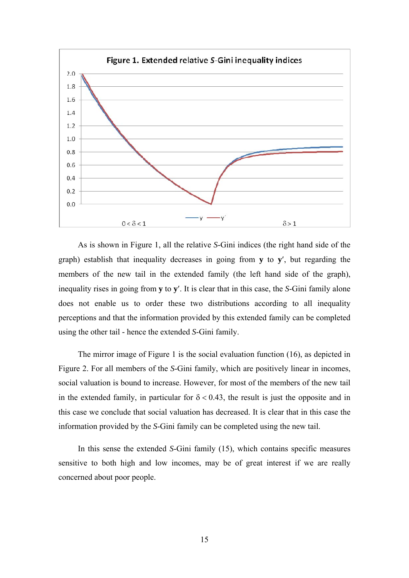

As is shown in Figure 1, all the relative *S*-Gini indices (the right hand side of the graph) establish that inequality decreases in going from **y** to **y**′, but regarding the members of the new tail in the extended family (the left hand side of the graph), inequality rises in going from **y** to **y**′. It is clear that in this case, the *S*-Gini family alone does not enable us to order these two distributions according to all inequality perceptions and that the information provided by this extended family can be completed using the other tail - hence the extended *S*-Gini family.

The mirror image of Figure 1 is the social evaluation function (16), as depicted in Figure 2. For all members of the *S*-Gini family, which are positively linear in incomes, social valuation is bound to increase. However, for most of the members of the new tail in the extended family, in particular for  $\delta$  < 0.43, the result is just the opposite and in this case we conclude that social valuation has decreased. It is clear that in this case the information provided by the *S*-Gini family can be completed using the new tail.

In this sense the extended *S*-Gini family (15), which contains specific measures sensitive to both high and low incomes, may be of great interest if we are really concerned about poor people.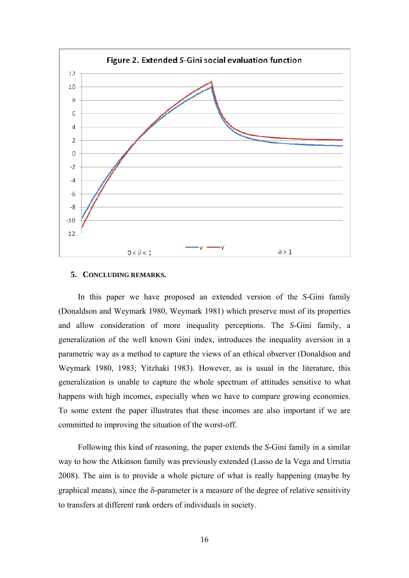

#### **5. CONCLUDING REMARKS.**

In this paper we have proposed an extended version of the *S*-Gini family (Donaldson and Weymark 1980, Weymark 1981) which preserve most of its properties and allow consideration of more inequality perceptions. The *S*-Gini family, a generalization of the well known Gini index, introduces the inequality aversion in a parametric way as a method to capture the views of an ethical observer (Donaldson and Weymark 1980, 1983; Yitzhaki 1983). However, as is usual in the literature, this generalization is unable to capture the whole spectrum of attitudes sensitive to what happens with high incomes, especially when we have to compare growing economies. To some extent the paper illustrates that these incomes are also important if we are committed to improving the situation of the worst-off.

Following this kind of reasoning, the paper extends the *S*-Gini family in a similar way to how the Atkinson family was previously extended (Lasso de la Vega and Urrutia 2008). The aim is to provide a whole picture of what is really happening (maybe by graphical means), since the δ-parameter is a measure of the degree of relative sensitivity to transfers at different rank orders of individuals in society.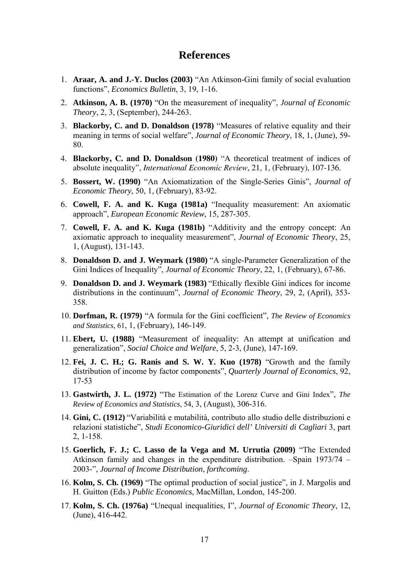# **References**

- 1. **Araar, A. and J.-Y. Duclos (2003)** "An Atkinson-Gini family of social evaluation functions", *Economics Bulletin*, 3, 19, 1-16.
- 2. **Atkinson, A. B. (1970)** "On the measurement of inequality", *Journal of Economic Theory*, 2, 3, (September), 244-263.
- 3. **Blackorby, C. and D. Donaldson (1978)** "Measures of relative equality and their meaning in terms of social welfare", *Journal of Economic Theory*, 18, 1, (June), 59- 80.
- 4. **Blackorby, C. and D. Donaldson (1980)** "A theoretical treatment of indices of absolute inequality", *International Economic Review*, 21, 1, (February), 107-136.
- 5. **Bossert, W. (1990)** "An Axiomatization of the Single-Series Ginis", *Journal of Economic Theory*, 50, 1, (February), 83-92.
- 6. **Cowell, F. A. and K. Kuga (1981a)** "Inequality measurement: An axiomatic approach", *European Economic Review*, 15, 287-305.
- 7. **Cowell, F. A. and K. Kuga (1981b)** "Additivity and the entropy concept: An axiomatic approach to inequality measurement", *Journal of Economic Theory*, 25, 1, (August), 131-143.
- 8. **Donaldson D. and J. Weymark (1980)** "A single-Parameter Generalization of the Gini Indices of Inequality", *Journal of Economic Theory*, 22, 1, (February), 67-86.
- 9. **Donaldson D. and J. Weymark (1983)** "Ethically flexible Gini indices for income distributions in the continuum", *Journal of Economic Theory*, 29, 2, (April), 353- 358.
- 10. **Dorfman, R. (1979)** "A formula for the Gini coefficient", *The Review of Economics and Statistics*, 61, 1, (February), 146-149.
- 11. **Ebert, U. (1988)** "Measurement of inequality: An attempt at unification and generalization", *Social Choice and Welfare*, 5, 2-3, (June), 147-169.
- 12. **Fei, J. C. H.; G. Ranis and S. W. Y. Kuo (1978)** "Growth and the family distribution of income by factor components", *Quarterly Journal of Economics*, 92, 17-53
- 13. **Gastwirth, J. L. (1972)** "The Estimation of the Lorenz Curve and Gini Index", *The Review of Economics and Statistics*, 54, 3, (August), 306-316.
- 14. **Gini, C. (1912)** "Variabilità e mutabilità, contributo allo studio delle distribuzioni e relazioni statistiche", *Studi Economico-Giuridici dell' Universiti di Cagliari* 3, part 2, 1-158.
- 15. **Goerlich, F. J.; C. Lasso de la Vega and M. Urrutia (2009)** "The Extended Atkinson family and changes in the expenditure distribution. –Spain 1973/74 – 2003-", *Journal of Income Distribution*, *forthcoming*.
- 16. **Kolm, S. Ch. (1969)** "The optimal production of social justice", in J. Margolis and H. Guitton (Eds.) *Public Economics*, MacMillan, London, 145-200.
- 17. **Kolm, S. Ch. (1976a)** "Unequal inequalities, I", *Journal of Economic Theory*, 12, (June), 416-442.